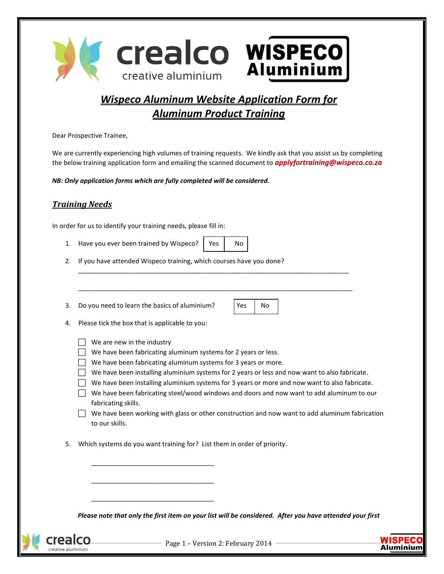

## *Wispeco Aluminum Website Application Form for Aluminum Product Training*

Dear Prospective Trainee,

We are currently experiencing high volumes of training requests. We kindly ask that you assist us by completing the below training application form and emailing the scanned document to *applyfortraining@wispeco.co.za*

\_\_\_\_\_\_\_\_\_\_\_\_\_\_\_\_\_\_\_\_\_\_\_\_\_\_\_\_\_\_\_\_\_\_\_\_\_\_\_\_\_\_\_\_\_\_\_\_\_\_\_\_\_\_\_\_\_\_\_\_\_\_\_\_\_\_\_\_\_\_\_\_\_\_\_

\_\_\_\_\_\_\_\_\_\_\_\_\_\_\_\_\_\_\_\_\_\_\_\_\_\_\_\_\_\_\_\_\_\_\_\_\_\_\_\_\_\_\_\_\_\_\_\_\_\_\_\_\_\_\_\_\_\_\_\_\_\_\_\_\_\_\_\_\_\_\_\_\_\_\_\_

*NB: Only application forms which are fully completed will be considered.* 

## *Training Needs*

In order for us to identify your training needs, please fill in:

- 1. Have you ever been trained by Wispeco? | Yes  $\vert$  No
- 2. If you have attended Wispeco training, which courses have you done?

3. Do you need to learn the basics of aluminium?  $|Yes | No$ 

| 4. | Please tick the box that is applicable to you: |  |  |  |
|----|------------------------------------------------|--|--|--|
|----|------------------------------------------------|--|--|--|

- $\Box$  We are new in the industry
- $\Box$  We have been fabricating aluminum systems for 2 years or less.
- $\Box$  We have been fabricating aluminum systems for 3 years or more.
- $\Box$  We have been installing aluminium systems for 2 years or less and now want to also fabricate.
- $\Box$  We have been installing aluminium systems for 3 years or more and now want to also fabricate.
- $\Box$  We have been fabricating steel/wood windows and doors and now want to add aluminum to our fabricating skills.
- $\Box$  We have been working with glass or other construction and now want to add aluminum fabrication to our skills.
- 5. Which systems do you want training for? List them in order of priority.

\_\_\_\_\_\_\_\_\_\_\_\_\_\_\_\_\_\_\_\_\_\_\_\_\_\_\_\_\_\_\_\_\_\_

\_\_\_\_\_\_\_\_\_\_\_\_\_\_\_\_\_\_\_\_\_\_\_\_\_\_\_\_\_\_\_\_\_\_

\_\_\_\_\_\_\_\_\_\_\_\_\_\_\_\_\_\_\_\_\_\_\_\_\_\_\_\_\_\_\_\_\_\_

*Please note that only the first item on your list will be considered. After you have attended your first* 



 $-$  Page 1 – Version 2: February 2014  $-$ 

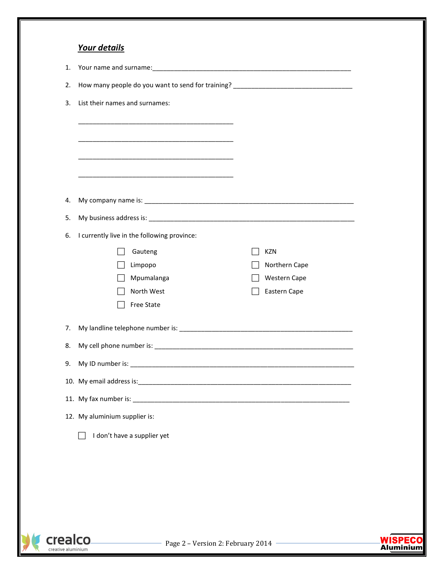|    | Your details                                                                      |               |
|----|-----------------------------------------------------------------------------------|---------------|
| 1. |                                                                                   |               |
| 2. | How many people do you want to send for training? _______________________________ |               |
| 3. | List their names and surnames:                                                    |               |
|    |                                                                                   |               |
|    |                                                                                   |               |
|    |                                                                                   |               |
|    |                                                                                   |               |
|    |                                                                                   |               |
| 4. |                                                                                   |               |
| 5. |                                                                                   |               |
| 6. | I currently live in the following province:                                       |               |
|    | Gauteng                                                                           | <b>KZN</b>    |
|    | Limpopo                                                                           | Northern Cape |
|    | Mpumalanga                                                                        | Western Cape  |
|    | North West                                                                        | Eastern Cape  |
|    | <b>Free State</b>                                                                 |               |
| 7. |                                                                                   |               |
| 8. |                                                                                   |               |
| 9. |                                                                                   |               |
|    |                                                                                   |               |
|    |                                                                                   |               |
|    | 12. My aluminium supplier is:                                                     |               |
|    | I don't have a supplier yet                                                       |               |
|    |                                                                                   |               |
|    |                                                                                   |               |
|    |                                                                                   |               |
|    |                                                                                   |               |
|    |                                                                                   |               |
|    |                                                                                   |               |
|    |                                                                                   |               |

Crealco

Page 2 – Version 2: February 2014